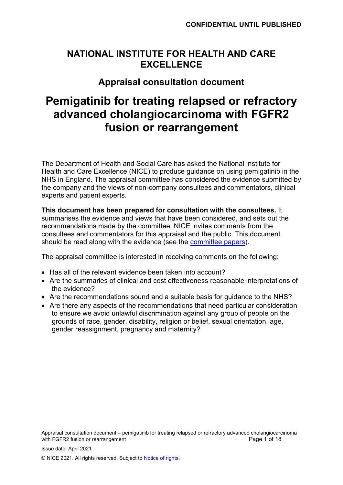## **NATIONAL INSTITUTE FOR HEALTH AND CARE EXCELLENCE**

## **Appraisal consultation document**

# **Pemigatinib for treating relapsed or refractory advanced cholangiocarcinoma with FGFR2 fusion or rearrangement**

The Department of Health and Social Care has asked the National Institute for Health and Care Excellence (NICE) to produce guidance on using pemigatinib in the NHS in England. The appraisal committee has considered the evidence submitted by the company and the views of non-company consultees and commentators, clinical experts and patient experts.

**This document has been prepared for consultation with the consultees.** It summarises the evidence and views that have been considered, and sets out the recommendations made by the committee. NICE invites comments from the consultees and commentators for this appraisal and the public. This document should be read along with the evidence (see the [committee papers\)](https://www.nice.org.uk/guidance/indevelopment/gid-ta10619).

The appraisal committee is interested in receiving comments on the following:

- Has all of the relevant evidence been taken into account?
- Are the summaries of clinical and cost effectiveness reasonable interpretations of the evidence?
- Are the recommendations sound and a suitable basis for guidance to the NHS?
- Are there any aspects of the recommendations that need particular consideration to ensure we avoid unlawful discrimination against any group of people on the grounds of race, gender, disability, religion or belief, sexual orientation, age, gender reassignment, pregnancy and maternity?

Appraisal consultation document – pemigatinib for treating relapsed or refractory advanced cholangiocarcinoma with FGFR2 fusion or rearrangement **Page 1** of 18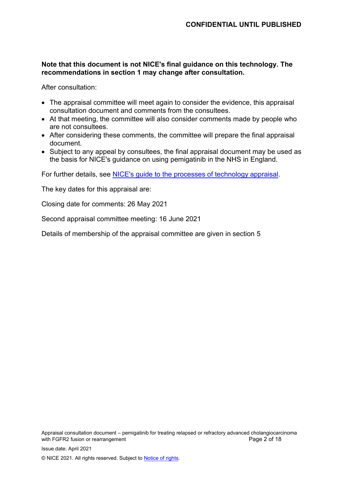#### **Note that this document is not NICE's final guidance on this technology. The recommendations in section 1 may change after consultation.**

After consultation:

- The appraisal committee will meet again to consider the evidence, this appraisal consultation document and comments from the consultees.
- At that meeting, the committee will also consider comments made by people who are not consultees.
- After considering these comments, the committee will prepare the final appraisal document.
- Subject to any appeal by consultees, the final appraisal document may be used as the basis for NICE's guidance on using pemigatinib in the NHS in England.

For further details, see [NICE's guide to the processes of technology appraisal.](https://www.nice.org.uk/process/pmg19/chapter/Foreword)

The key dates for this appraisal are:

Closing date for comments: 26 May 2021

Second appraisal committee meeting: 16 June 2021

Details of membership of the appraisal committee are given in section 5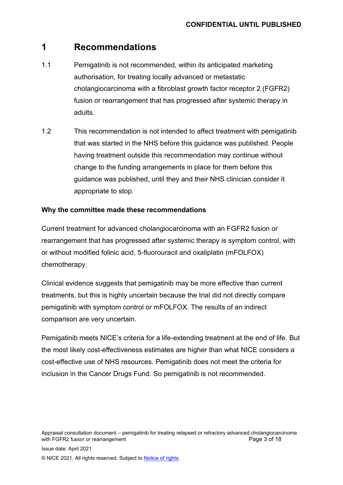## **1 Recommendations**

- 1.1 Pemigatinib is not recommended, within its anticipated marketing authorisation, for treating locally advanced or metastatic cholangiocarcinoma with a fibroblast growth factor receptor 2 (FGFR2) fusion or rearrangement that has progressed after systemic therapy in adults.
- 1.2 This recommendation is not intended to affect treatment with pemigatinib that was started in the NHS before this guidance was published. People having treatment outside this recommendation may continue without change to the funding arrangements in place for them before this guidance was published, until they and their NHS clinician consider it appropriate to stop.

#### **Why the committee made these recommendations**

Current treatment for advanced cholangiocarcinoma with an FGFR2 fusion or rearrangement that has progressed after systemic therapy is symptom control, with or without modified folinic acid, 5-fluorouracil and oxaliplatin (mFOLFOX) chemotherapy.

Clinical evidence suggests that pemigatinib may be more effective than current treatments, but this is highly uncertain because the trial did not directly compare pemigatinib with symptom control or mFOLFOX. The results of an indirect comparison are very uncertain.

Pemigatinib meets NICE's criteria for a life-extending treatment at the end of life. But the most likely cost-effectiveness estimates are higher than what NICE considers a cost-effective use of NHS resources. Pemigatinib does not meet the criteria for inclusion in the Cancer Drugs Fund. So pemigatinib is not recommended.

Appraisal consultation document – pemigatinib for treating relapsed or refractory advanced cholangiocarcinoma with FGFR2 fusion or rearrangement **Page 3 of 18** and  $P$  and  $P$  and  $P$  and  $P$  and  $P$  and  $P$  and  $P$  and  $P$  and  $P$  and  $P$  and  $P$  and  $P$  and  $P$  and  $P$  and  $P$  and  $P$  and  $P$  and  $P$  and  $P$  and  $P$  and  $P$  and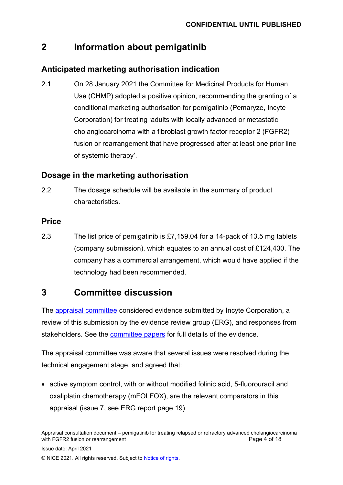## **2 Information about pemigatinib**

### **Anticipated marketing authorisation indication**

2.1 On 28 January 2021 the Committee for Medicinal Products for Human Use (CHMP) adopted a positive opinion, recommending the granting of a conditional marketing authorisation for pemigatinib (Pemaryze, Incyte Corporation) for treating 'adults with locally advanced or metastatic cholangiocarcinoma with a fibroblast growth factor receptor 2 (FGFR2) fusion or rearrangement that have progressed after at least one prior line of systemic therapy'.

### **Dosage in the marketing authorisation**

2.2 The dosage schedule will be available in the summary of product characteristics.

### **Price**

2.3 The list price of pemigatinib is £7,159.04 for a 14-pack of 13.5 mg tablets (company submission), which equates to an annual cost of £124,430. The company has a commercial arrangement, which would have applied if the technology had been recommended.

## **3 Committee discussion**

The [appraisal committee](#page-16-0) considered evidence submitted by Incyte Corporation, a review of this submission by the evidence review group (ERG), and responses from stakeholders. See the [committee papers](https://www.nice.org.uk/guidance/indevelopment/gid-ta10619) for full details of the evidence.

The appraisal committee was aware that several issues were resolved during the technical engagement stage, and agreed that:

• active symptom control, with or without modified folinic acid, 5-fluorouracil and oxaliplatin chemotherapy (mFOLFOX), are the relevant comparators in this appraisal (issue 7, see ERG report page 19)

Appraisal consultation document – pemigatinib for treating relapsed or refractory advanced cholangiocarcinoma with FGFR2 fusion or rearrangement **Page 4 of 18** and  $P$  and  $P$  and  $P$  and  $P$  and  $P$  and  $P$  and  $P$  and  $P$  and  $P$  and  $P$  and  $P$  and  $P$  and  $P$  and  $P$  and  $P$  and  $P$  and  $P$  and  $P$  and  $P$  and  $P$  and  $P$  and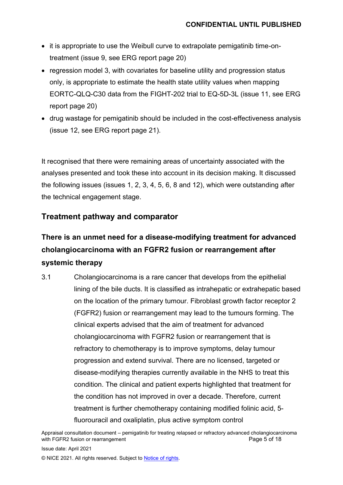- it is appropriate to use the Weibull curve to extrapolate pemigatinib time-ontreatment (issue 9, see ERG report page 20)
- regression model 3, with covariates for baseline utility and progression status only, is appropriate to estimate the health state utility values when mapping EORTC-QLQ-C30 data from the FIGHT-202 trial to EQ-5D-3L (issue 11, see ERG report page 20)
- drug wastage for pemigatinib should be included in the cost-effectiveness analysis (issue 12, see ERG report page 21).

It recognised that there were remaining areas of uncertainty associated with the analyses presented and took these into account in its decision making. It discussed the following issues (issues 1, 2, 3, 4, 5, 6, 8 and 12), which were outstanding after the technical engagement stage.

### **Treatment pathway and comparator**

## **There is an unmet need for a disease-modifying treatment for advanced cholangiocarcinoma with an FGFR2 fusion or rearrangement after systemic therapy**

3.1 Cholangiocarcinoma is a rare cancer that develops from the epithelial lining of the bile ducts. It is classified as intrahepatic or extrahepatic based on the location of the primary tumour. Fibroblast growth factor receptor 2 (FGFR2) fusion or rearrangement may lead to the tumours forming. The clinical experts advised that the aim of treatment for advanced cholangiocarcinoma with FGFR2 fusion or rearrangement that is refractory to chemotherapy is to improve symptoms, delay tumour progression and extend survival. There are no licensed, targeted or disease-modifying therapies currently available in the NHS to treat this condition. The clinical and patient experts highlighted that treatment for the condition has not improved in over a decade. Therefore, current treatment is further chemotherapy containing modified folinic acid, 5 fluorouracil and oxaliplatin, plus active symptom control

Appraisal consultation document – pemigatinib for treating relapsed or refractory advanced cholangiocarcinoma with FGFR2 fusion or rearrangement

Issue date: April 2021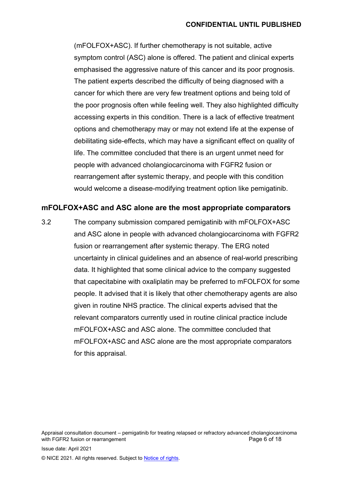(mFOLFOX+ASC). If further chemotherapy is not suitable, active symptom control (ASC) alone is offered. The patient and clinical experts emphasised the aggressive nature of this cancer and its poor prognosis. The patient experts described the difficulty of being diagnosed with a cancer for which there are very few treatment options and being told of the poor prognosis often while feeling well. They also highlighted difficulty accessing experts in this condition. There is a lack of effective treatment options and chemotherapy may or may not extend life at the expense of debilitating side-effects, which may have a significant effect on quality of life. The committee concluded that there is an urgent unmet need for people with advanced cholangiocarcinoma with FGFR2 fusion or rearrangement after systemic therapy, and people with this condition would welcome a disease-modifying treatment option like pemigatinib.

#### **mFOLFOX+ASC and ASC alone are the most appropriate comparators**

3.2 The company submission compared pemigatinib with mFOLFOX+ASC and ASC alone in people with advanced cholangiocarcinoma with FGFR2 fusion or rearrangement after systemic therapy. The ERG noted uncertainty in clinical guidelines and an absence of real-world prescribing data. It highlighted that some clinical advice to the company suggested that capecitabine with oxaliplatin may be preferred to mFOLFOX for some people. It advised that it is likely that other chemotherapy agents are also given in routine NHS practice. The clinical experts advised that the relevant comparators currently used in routine clinical practice include mFOLFOX+ASC and ASC alone. The committee concluded that mFOLFOX+ASC and ASC alone are the most appropriate comparators for this appraisal.

Appraisal consultation document – pemigatinib for treating relapsed or refractory advanced cholangiocarcinoma<br>Page 6 of 18 with FGFR2 fusion or rearrangement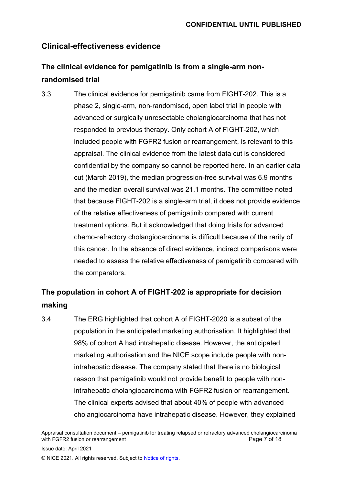### **Clinical-effectiveness evidence**

## **The clinical evidence for pemigatinib is from a single-arm nonrandomised trial**

<span id="page-6-0"></span>3.3 The clinical evidence for pemigatinib came from FIGHT-202. This is a phase 2, single-arm, non-randomised, open label trial in people with advanced or surgically unresectable cholangiocarcinoma that has not responded to previous therapy. Only cohort A of FIGHT-202, which included people with FGFR2 fusion or rearrangement, is relevant to this appraisal. The clinical evidence from the latest data cut is considered confidential by the company so cannot be reported here. In an earlier data cut (March 2019), the median progression-free survival was 6.9 months and the median overall survival was 21.1 months. The committee noted that because FIGHT-202 is a single-arm trial, it does not provide evidence of the relative effectiveness of pemigatinib compared with current treatment options. But it acknowledged that doing trials for advanced chemo-refractory cholangiocarcinoma is difficult because of the rarity of this cancer. In the absence of direct evidence, indirect comparisons were needed to assess the relative effectiveness of pemigatinib compared with the comparators.

## **The population in cohort A of FIGHT-202 is appropriate for decision making**

3.4 The ERG highlighted that cohort A of FIGHT-2020 is a subset of the population in the anticipated marketing authorisation. It highlighted that 98% of cohort A had intrahepatic disease. However, the anticipated marketing authorisation and the NICE scope include people with nonintrahepatic disease. The company stated that there is no biological reason that pemigatinib would not provide benefit to people with nonintrahepatic cholangiocarcinoma with FGFR2 fusion or rearrangement. The clinical experts advised that about 40% of people with advanced cholangiocarcinoma have intrahepatic disease. However, they explained

Appraisal consultation document – pemigatinib for treating relapsed or refractory advanced cholangiocarcinoma<br>Page 7 of 18<br>Page 7 of 18 with FGFR2 fusion or rearrangement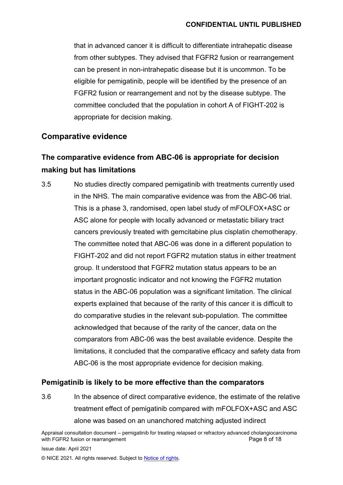that in advanced cancer it is difficult to differentiate intrahepatic disease from other subtypes. They advised that FGFR2 fusion or rearrangement can be present in non-intrahepatic disease but it is uncommon. To be eligible for pemigatinib, people will be identified by the presence of an FGFR2 fusion or rearrangement and not by the disease subtype. The committee concluded that the population in cohort A of FIGHT-202 is appropriate for decision making.

### **Comparative evidence**

## **The comparative evidence from ABC-06 is appropriate for decision making but has limitations**

<span id="page-7-0"></span>3.5 No studies directly compared pemigatinib with treatments currently used in the NHS. The main comparative evidence was from the ABC-06 trial. This is a phase 3, randomised, open label study of mFOLFOX+ASC or ASC alone for people with locally advanced or metastatic biliary tract cancers previously treated with gemcitabine plus cisplatin chemotherapy. The committee noted that ABC-06 was done in a different population to FIGHT-202 and did not report FGFR2 mutation status in either treatment group. It understood that FGFR2 mutation status appears to be an important prognostic indicator and not knowing the FGFR2 mutation status in the ABC-06 population was a significant limitation. The clinical experts explained that because of the rarity of this cancer it is difficult to do comparative studies in the relevant sub-population. The committee acknowledged that because of the rarity of the cancer, data on the comparators from ABC-06 was the best available evidence. Despite the limitations, it concluded that the comparative efficacy and safety data from ABC-06 is the most appropriate evidence for decision making.

#### **Pemigatinib is likely to be more effective than the comparators**

<span id="page-7-1"></span>3.6 In the absence of direct comparative evidence, the estimate of the relative treatment effect of pemigatinib compared with mFOLFOX+ASC and ASC alone was based on an unanchored matching adjusted indirect

Appraisal consultation document – pemigatinib for treating relapsed or refractory advanced cholangiocarcinoma with FGFR2 fusion or rearrangement

Issue date: April 2021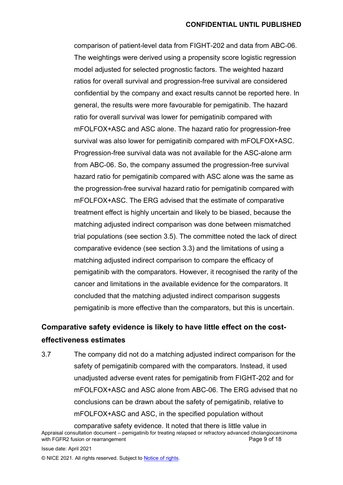comparison of patient-level data from FIGHT-202 and data from ABC-06. The weightings were derived using a propensity score logistic regression model adjusted for selected prognostic factors. The weighted hazard ratios for overall survival and progression-free survival are considered confidential by the company and exact results cannot be reported here. In general, the results were more favourable for pemigatinib. The hazard ratio for overall survival was lower for pemigatinib compared with mFOLFOX+ASC and ASC alone. The hazard ratio for progression-free survival was also lower for pemigatinib compared with mFOLFOX+ASC. Progression-free survival data was not available for the ASC-alone arm from ABC-06. So, the company assumed the progression-free survival hazard ratio for pemigatinib compared with ASC alone was the same as the progression-free survival hazard ratio for pemigatinib compared with mFOLFOX+ASC. The ERG advised that the estimate of comparative treatment effect is highly uncertain and likely to be biased, because the matching adjusted indirect comparison was done between mismatched trial populations (see section [3.5\)](#page-7-0). The committee noted the lack of direct comparative evidence (see section [3.3\)](#page-6-0) and the limitations of using a matching adjusted indirect comparison to compare the efficacy of pemigatinib with the comparators. However, it recognised the rarity of the cancer and limitations in the available evidence for the comparators. It concluded that the matching adjusted indirect comparison suggests pemigatinib is more effective than the comparators, but this is uncertain.

## **Comparative safety evidence is likely to have little effect on the costeffectiveness estimates**

3.7 The company did not do a matching adjusted indirect comparison for the safety of pemigatinib compared with the comparators. Instead, it used unadjusted adverse event rates for pemigatinib from FIGHT-202 and for mFOLFOX+ASC and ASC alone from ABC-06. The ERG advised that no conclusions can be drawn about the safety of pemigatinib, relative to mFOLFOX+ASC and ASC, in the specified population without

Issue date: April 2021

Appraisal consultation document – pemigatinib for treating relapsed or refractory advanced cholangiocarcinoma with FGFR2 fusion or rearrangement comparative safety evidence. It noted that there is little value in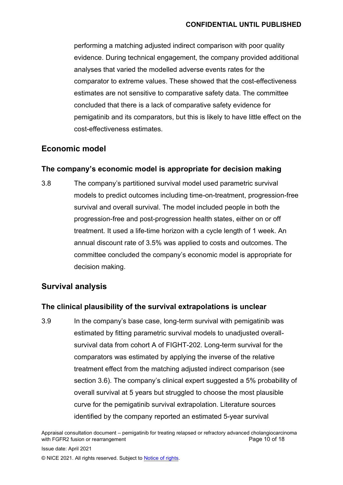#### **CONFIDENTIAL UNTIL PUBLISHED**

performing a matching adjusted indirect comparison with poor quality evidence. During technical engagement, the company provided additional analyses that varied the modelled adverse events rates for the comparator to extreme values. These showed that the cost-effectiveness estimates are not sensitive to comparative safety data. The committee concluded that there is a lack of comparative safety evidence for pemigatinib and its comparators, but this is likely to have little effect on the cost-effectiveness estimates.

### **Economic model**

#### **The company's economic model is appropriate for decision making**

3.8 The company's partitioned survival model used parametric survival models to predict outcomes including time-on-treatment, progression-free survival and overall survival. The model included people in both the progression-free and post-progression health states, either on or off treatment. It used a life-time horizon with a cycle length of 1 week. An annual discount rate of 3.5% was applied to costs and outcomes. The committee concluded the company's economic model is appropriate for decision making.

### **Survival analysis**

#### **The clinical plausibility of the survival extrapolations is unclear**

<span id="page-9-0"></span>3.9 In the company's base case, long-term survival with pemigatinib was estimated by fitting parametric survival models to unadjusted overallsurvival data from cohort A of FIGHT-202. Long-term survival for the comparators was estimated by applying the inverse of the relative treatment effect from the matching adjusted indirect comparison (see section [3.6\)](#page-7-1). The company's clinical expert suggested a 5% probability of overall survival at 5 years but struggled to choose the most plausible curve for the pemigatinib survival extrapolation. Literature sources identified by the company reported an estimated 5-year survival

Appraisal consultation document – pemigatinib for treating relapsed or refractory advanced cholangiocarcinoma with FGFR2 fusion or rearrangement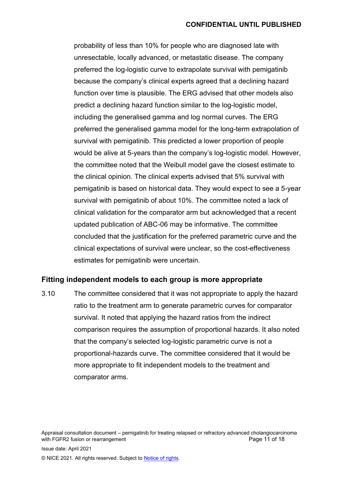probability of less than 10% for people who are diagnosed late with unresectable, locally advanced, or metastatic disease. The company preferred the log-logistic curve to extrapolate survival with pemigatinib because the company's clinical experts agreed that a declining hazard function over time is plausible. The ERG advised that other models also predict a declining hazard function similar to the log-logistic model, including the generalised gamma and log normal curves. The ERG preferred the generalised gamma model for the long-term extrapolation of survival with pemigatinib. This predicted a lower proportion of people would be alive at 5-years than the company's log-logistic model. However, the committee noted that the Weibull model gave the closest estimate to the clinical opinion. The clinical experts advised that 5% survival with pemigatinib is based on historical data. They would expect to see a 5-year survival with pemigatinib of about 10%. The committee noted a lack of clinical validation for the comparator arm but acknowledged that a recent updated publication of ABC-06 may be informative. The committee concluded that the justification for the preferred parametric curve and the clinical expectations of survival were unclear, so the cost-effectiveness estimates for pemigatinib were uncertain.

#### **Fitting independent models to each group is more appropriate**

<span id="page-10-0"></span>3.10 The committee considered that it was not appropriate to apply the hazard ratio to the treatment arm to generate parametric curves for comparator survival. It noted that applying the hazard ratios from the indirect comparison requires the assumption of proportional hazards. It also noted that the company's selected log-logistic parametric curve is not a proportional-hazards curve. The committee considered that it would be more appropriate to fit independent models to the treatment and comparator arms.

Appraisal consultation document – pemigatinib for treating relapsed or refractory advanced cholangiocarcinoma with FGFR2 fusion or rearrangement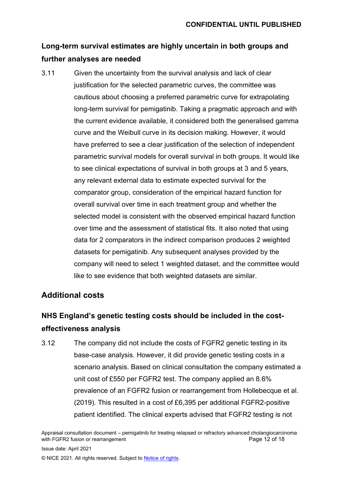## **Long-term survival estimates are highly uncertain in both groups and further analyses are needed**

<span id="page-11-0"></span>3.11 Given the uncertainty from the survival analysis and lack of clear justification for the selected parametric curves, the committee was cautious about choosing a preferred parametric curve for extrapolating long-term survival for pemigatinib. Taking a pragmatic approach and with the current evidence available, it considered both the generalised gamma curve and the Weibull curve in its decision making. However, it would have preferred to see a clear justification of the selection of independent parametric survival models for overall survival in both groups. It would like to see clinical expectations of survival in both groups at 3 and 5 years, any relevant external data to estimate expected survival for the comparator group, consideration of the empirical hazard function for overall survival over time in each treatment group and whether the selected model is consistent with the observed empirical hazard function over time and the assessment of statistical fits. It also noted that using data for 2 comparators in the indirect comparison produces 2 weighted datasets for pemigatinib. Any subsequent analyses provided by the company will need to select 1 weighted dataset, and the committee would like to see evidence that both weighted datasets are similar.

### **Additional costs**

## **NHS England's genetic testing costs should be included in the costeffectiveness analysis**

<span id="page-11-1"></span>3.12 The company did not include the costs of FGFR2 genetic testing in its base-case analysis. However, it did provide genetic testing costs in a scenario analysis. Based on clinical consultation the company estimated a unit cost of £550 per FGFR2 test. The company applied an 8.6% prevalence of an FGFR2 fusion or rearrangement from Hollebecque et al. (2019). This resulted in a cost of £6,395 per additional FGFR2-positive patient identified. The clinical experts advised that FGFR2 testing is not

Appraisal consultation document – pemigatinib for treating relapsed or refractory advanced cholangiocarcinoma with FGFR2 fusion or rearrangement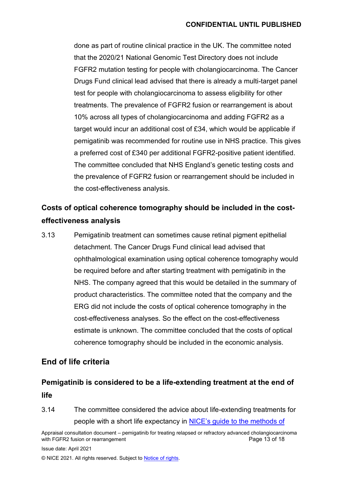#### **CONFIDENTIAL UNTIL PUBLISHED**

done as part of routine clinical practice in the UK. The committee noted that the 2020/21 National Genomic Test Directory does not include FGFR2 mutation testing for people with cholangiocarcinoma. The Cancer Drugs Fund clinical lead advised that there is already a multi-target panel test for people with cholangiocarcinoma to assess eligibility for other treatments. The prevalence of FGFR2 fusion or rearrangement is about 10% across all types of cholangiocarcinoma and adding FGFR2 as a target would incur an additional cost of £34, which would be applicable if pemigatinib was recommended for routine use in NHS practice. This gives a preferred cost of £340 per additional FGFR2-positive patient identified. The committee concluded that NHS England's genetic testing costs and the prevalence of FGFR2 fusion or rearrangement should be included in the cost-effectiveness analysis.

## **Costs of optical coherence tomography should be included in the costeffectiveness analysis**

3.13 Pemigatinib treatment can sometimes cause retinal pigment epithelial detachment. The Cancer Drugs Fund clinical lead advised that ophthalmological examination using optical coherence tomography would be required before and after starting treatment with pemigatinib in the NHS. The company agreed that this would be detailed in the summary of product characteristics. The committee noted that the company and the ERG did not include the costs of optical coherence tomography in the cost-effectiveness analyses. So the effect on the cost-effectiveness estimate is unknown. The committee concluded that the costs of optical coherence tomography should be included in the economic analysis.

### **End of life criteria**

## **Pemigatinib is considered to be a life-extending treatment at the end of life**

3.14 The committee considered the advice about life-extending treatments for people with a short life expectancy in [NICE's guide to the methods of](https://www.nice.org.uk/process/pmg9/chapter/the-appraisal-of-the-evidence-and-structured-decision-making) 

Appraisal consultation document – pemigatinib for treating relapsed or refractory advanced cholangiocarcinoma with FGFR2 fusion or rearrangement

Issue date: April 2021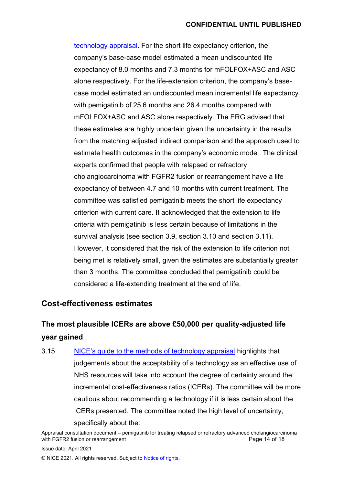[technology appraisal.](https://www.nice.org.uk/process/pmg9/chapter/the-appraisal-of-the-evidence-and-structured-decision-making) For the short life expectancy criterion, the company's base-case model estimated a mean undiscounted life expectancy of 8.0 months and 7.3 months for mFOLFOX+ASC and ASC alone respectively. For the life-extension criterion, the company's basecase model estimated an undiscounted mean incremental life expectancy with pemigatinib of 25.6 months and 26.4 months compared with mFOLFOX+ASC and ASC alone respectively. The ERG advised that these estimates are highly uncertain given the uncertainty in the results from the matching adjusted indirect comparison and the approach used to estimate health outcomes in the company's economic model. The clinical experts confirmed that people with relapsed or refractory cholangiocarcinoma with FGFR2 fusion or rearrangement have a life expectancy of between 4.7 and 10 months with current treatment. The committee was satisfied pemigatinib meets the short life expectancy criterion with current care. It acknowledged that the extension to life criteria with pemigatinib is less certain because of limitations in the survival analysis (see section [3.9,](#page-9-0) section [3.10](#page-10-0) and section [3.11\)](#page-11-0). However, it considered that the risk of the extension to life criterion not being met is relatively small, given the estimates are substantially greater than 3 months. The committee concluded that pemigatinib could be considered a life-extending treatment at the end of life.

### **Cost-effectiveness estimates**

## **The most plausible ICERs are above £50,000 per quality-adjusted life year gained**

3.15 [NICE's guide to the methods of technology appraisal](https://www.nice.org.uk/process/pmg9/chapter/the-appraisal-of-the-evidence-and-structured-decision-making) highlights that judgements about the acceptability of a technology as an effective use of NHS resources will take into account the degree of certainty around the incremental cost-effectiveness ratios (ICERs). The committee will be more cautious about recommending a technology if it is less certain about the ICERs presented. The committee noted the high level of uncertainty, specifically about the:

Appraisal consultation document – pemigatinib for treating relapsed or refractory advanced cholangiocarcinoma with FGFR2 fusion or rearrangement

Issue date: April 2021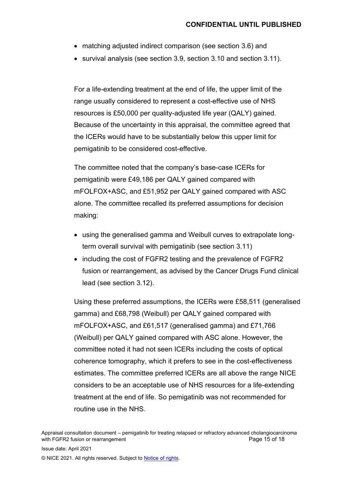- matching adjusted indirect comparison (see section [3.6\)](#page-7-1) and
- survival analysis (see section [3.9,](#page-9-0) section [3.10](#page-10-0) and section [3.11\)](#page-11-0).

For a life-extending treatment at the end of life, the upper limit of the range usually considered to represent a cost-effective use of NHS resources is £50,000 per quality-adjusted life year (QALY) gained. Because of the uncertainty in this appraisal, the committee agreed that the ICERs would have to be substantially below this upper limit for pemigatinib to be considered cost-effective.

The committee noted that the company's base-case ICERs for pemigatinib were £49,186 per QALY gained compared with mFOLFOX+ASC, and £51,952 per QALY gained compared with ASC alone. The committee recalled its preferred assumptions for decision making:

- using the generalised gamma and Weibull curves to extrapolate longterm overall survival with pemigatinib (see section [3.11\)](#page-11-0)
- including the cost of FGFR2 testing and the prevalence of FGFR2 fusion or rearrangement, as advised by the Cancer Drugs Fund clinical lead (see section [3.12\)](#page-11-1).

Using these preferred assumptions, the ICERs were £58,511 (generalised gamma) and £68,798 (Weibull) per QALY gained compared with mFOLFOX+ASC, and £61,517 (generalised gamma) and £71,766 (Weibull) per QALY gained compared with ASC alone. However, the committee noted it had not seen ICERs including the costs of optical coherence tomography, which it prefers to see in the cost-effectiveness estimates. The committee preferred ICERs are all above the range NICE considers to be an acceptable use of NHS resources for a life-extending treatment at the end of life. So pemigatinib was not recommended for routine use in the NHS.

Appraisal consultation document – pemigatinib for treating relapsed or refractory advanced cholangiocarcinoma with FGFR2 fusion or rearrangement **Page 15 of 18** and Page 15 of 18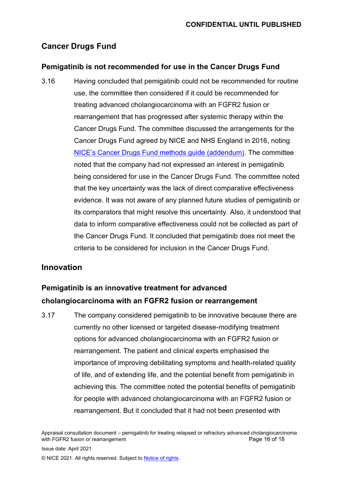## **Cancer Drugs Fund**

### **Pemigatinib is not recommended for use in the Cancer Drugs Fund**

3.16 Having concluded that pemigatinib could not be recommended for routine use, the committee then considered if it could be recommended for treating advanced cholangiocarcinoma with an FGFR2 fusion or rearrangement that has progressed after systemic therapy within the Cancer Drugs Fund. The committee discussed the arrangements for the Cancer Drugs Fund agreed by NICE and NHS England in 2016, noting [NICE's Cancer Drugs Fund methods guide \(addendum\)](https://www.nice.org.uk/about/what-we-do/our-programmes/nice-guidance/nice-technology-appraisal-guidance/cancer-drugs-fund). The committee noted that the company had not expressed an interest in pemigatinib being considered for use in the Cancer Drugs Fund. The committee noted that the key uncertainty was the lack of direct comparative effectiveness evidence. It was not aware of any planned future studies of pemigatinib or its comparators that might resolve this uncertainty. Also, it understood that data to inform comparative effectiveness could not be collected as part of the Cancer Drugs Fund. It concluded that pemigatinib does not meet the criteria to be considered for inclusion in the Cancer Drugs Fund.

### **Innovation**

## **Pemigatinib is an innovative treatment for advanced cholangiocarcinoma with an FGFR2 fusion or rearrangement**

3.17 The company considered pemigatinib to be innovative because there are currently no other licensed or targeted disease-modifying treatment options for advanced cholangiocarcinoma with an FGFR2 fusion or rearrangement. The patient and clinical experts emphasised the importance of improving debilitating symptoms and health-related quality of life, and of extending life, and the potential benefit from pemigatinib in achieving this. The committee noted the potential benefits of pemigatinib for people with advanced cholangiocarcinoma with an FGFR2 fusion or rearrangement. But it concluded that it had not been presented with

Appraisal consultation document – pemigatinib for treating relapsed or refractory advanced cholangiocarcinoma with FGFR2 fusion or rearrangement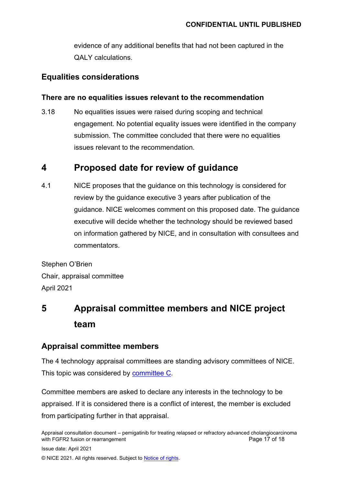evidence of any additional benefits that had not been captured in the QALY calculations.

### **Equalities considerations**

#### **There are no equalities issues relevant to the recommendation**

3.18 No equalities issues were raised during scoping and technical engagement. No potential equality issues were identified in the company submission. The committee concluded that there were no equalities issues relevant to the recommendation.

## **4 Proposed date for review of guidance**

4.1 NICE proposes that the guidance on this technology is considered for review by the guidance executive 3 years after publication of the guidance. NICE welcomes comment on this proposed date. The guidance executive will decide whether the technology should be reviewed based on information gathered by NICE, and in consultation with consultees and commentators.

Stephen O'Brien Chair, appraisal committee April 2021

# **5 Appraisal committee members and NICE project team**

### <span id="page-16-0"></span>**Appraisal committee members**

The 4 technology appraisal committees are standing advisory committees of NICE. This topic was considered by **committee C**.

Committee members are asked to declare any interests in the technology to be appraised. If it is considered there is a conflict of interest, the member is excluded from participating further in that appraisal.

Appraisal consultation document – pemigatinib for treating relapsed or refractory advanced cholangiocarcinoma with FGFR2 fusion or rearrangement **Page 17 of 18** and Page 17 of 18

Issue date: April 2021